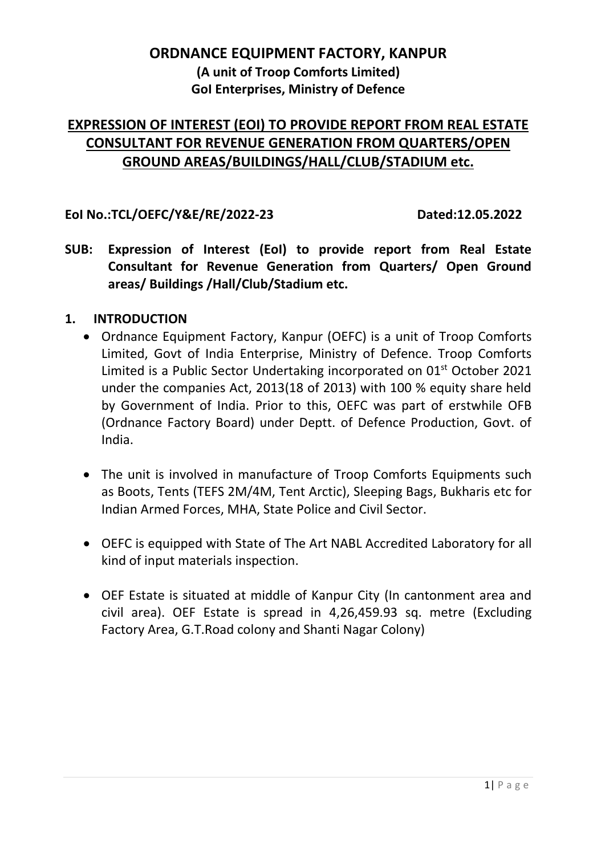# **ORDNANCE EQUIPMENT FACTORY, KANPUR (A unit of Troop Comforts Limited) GoI Enterprises, Ministry of Defence**

# **EXPRESSION OF INTEREST (EOI) TO PROVIDE REPORT FROM REAL ESTATE CONSULTANT FOR REVENUE GENERATION FROM QUARTERS/OPEN GROUND AREAS/BUILDINGS/HALL/CLUB/STADIUM etc.**

#### **EoI No.:TCL/OEFC/Y&E/RE/2022-23 Dated:12.05.2022**

**SUB: Expression of Interest (EoI) to provide report from Real Estate Consultant for Revenue Generation from Quarters/ Open Ground areas/ Buildings /Hall/Club/Stadium etc.**

#### **1. INTRODUCTION**

- Ordnance Equipment Factory, Kanpur (OEFC) is a unit of Troop Comforts Limited, Govt of India Enterprise, Ministry of Defence. Troop Comforts Limited is a Public Sector Undertaking incorporated on 01<sup>st</sup> October 2021 under the companies Act, 2013(18 of 2013) with 100 % equity share held by Government of India. Prior to this, OEFC was part of erstwhile OFB (Ordnance Factory Board) under Deptt. of Defence Production, Govt. of India.
- The unit is involved in manufacture of Troop Comforts Equipments such as Boots, Tents (TEFS 2M/4M, Tent Arctic), Sleeping Bags, Bukharis etc for Indian Armed Forces, MHA, State Police and Civil Sector.
- OEFC is equipped with State of The Art NABL Accredited Laboratory for all kind of input materials inspection.
- OEF Estate is situated at middle of Kanpur City (In cantonment area and civil area). OEF Estate is spread in 4,26,459.93 sq. metre (Excluding Factory Area, G.T.Road colony and Shanti Nagar Colony)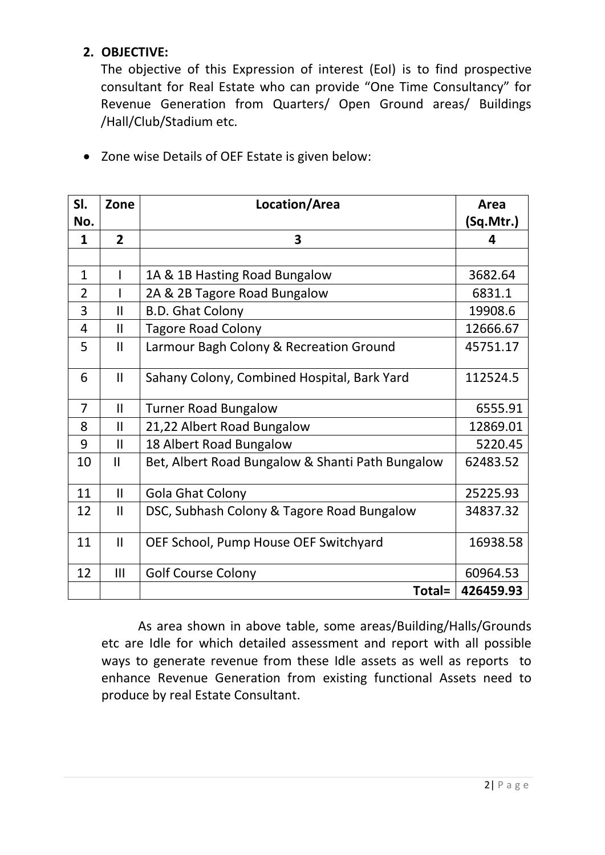## **2. OBJECTIVE:**

The objective of this Expression of interest (EoI) is to find prospective consultant for Real Estate who can provide "One Time Consultancy" for Revenue Generation from Quarters/ Open Ground areas/ Buildings /Hall/Club/Stadium etc.

| SI.            | Zone           | Location/Area                                    | Area      |
|----------------|----------------|--------------------------------------------------|-----------|
| No.            |                |                                                  | (Sq.Mtr.) |
| 1              | $\overline{2}$ | 3                                                | 4         |
|                |                |                                                  |           |
| $\mathbf{1}$   | I              | 1A & 1B Hasting Road Bungalow                    | 3682.64   |
| $\overline{2}$ |                | 2A & 2B Tagore Road Bungalow                     | 6831.1    |
| 3              | $\mathsf{II}$  | <b>B.D. Ghat Colony</b>                          | 19908.6   |
| 4              | $\mathsf{II}$  | <b>Tagore Road Colony</b>                        | 12666.67  |
| 5              | $\mathbf{II}$  | Larmour Bagh Colony & Recreation Ground          | 45751.17  |
| 6              | $\mathsf{II}$  | Sahany Colony, Combined Hospital, Bark Yard      | 112524.5  |
| 7              | $\mathbf{I}$   | <b>Turner Road Bungalow</b>                      | 6555.91   |
| 8              | $\mathsf{II}$  | 21,22 Albert Road Bungalow                       | 12869.01  |
| 9              | $\mathsf{II}$  | 18 Albert Road Bungalow                          | 5220.45   |
| 10             | $\mathsf{II}$  | Bet, Albert Road Bungalow & Shanti Path Bungalow | 62483.52  |
| 11             | $\mathbf{II}$  | <b>Gola Ghat Colony</b>                          | 25225.93  |
| 12             | $\mathbf{II}$  | DSC, Subhash Colony & Tagore Road Bungalow       | 34837.32  |
| 11             | $\mathbf{II}$  | OEF School, Pump House OEF Switchyard            | 16938.58  |
| 12             | III            | <b>Golf Course Colony</b>                        | 60964.53  |
|                |                | Total=                                           | 426459.93 |

Zone wise Details of OEF Estate is given below:

As area shown in above table, some areas/Building/Halls/Grounds etc are Idle for which detailed assessment and report with all possible ways to generate revenue from these Idle assets as well as reports to enhance Revenue Generation from existing functional Assets need to produce by real Estate Consultant.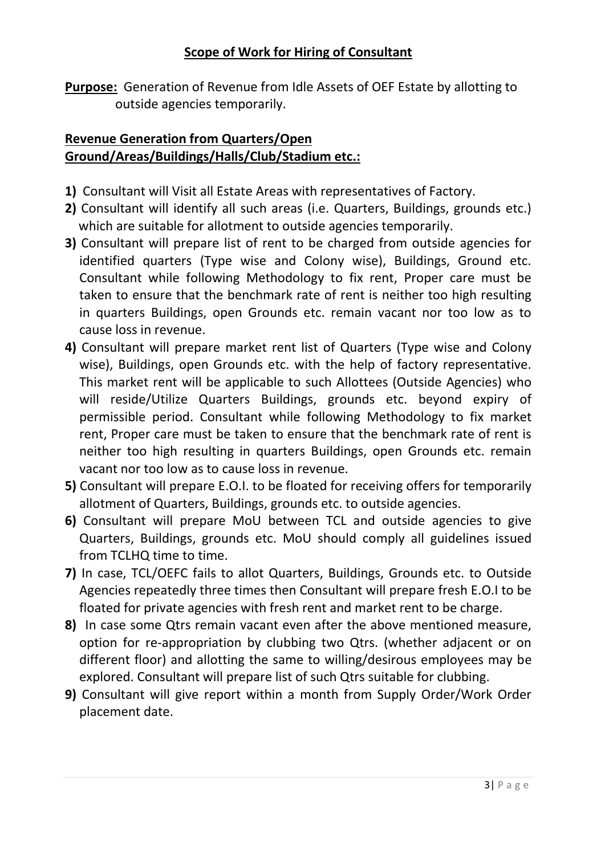### **Scope of Work for Hiring of Consultant**

**Purpose:** Generation of Revenue from Idle Assets of OEF Estate by allotting to outside agencies temporarily.

## **Revenue Generation from Quarters/Open Ground/Areas/Buildings/Halls/Club/Stadium etc.:**

- **1)** Consultant will Visit all Estate Areas with representatives of Factory.
- **2)** Consultant will identify all such areas (i.e. Quarters, Buildings, grounds etc.) which are suitable for allotment to outside agencies temporarily.
- **3)** Consultant will prepare list of rent to be charged from outside agencies for identified quarters (Type wise and Colony wise), Buildings, Ground etc. Consultant while following Methodology to fix rent, Proper care must be taken to ensure that the benchmark rate of rent is neither too high resulting in quarters Buildings, open Grounds etc. remain vacant nor too low as to cause loss in revenue.
- **4)** Consultant will prepare market rent list of Quarters (Type wise and Colony wise), Buildings, open Grounds etc. with the help of factory representative. This market rent will be applicable to such Allottees (Outside Agencies) who will reside/Utilize Quarters Buildings, grounds etc. beyond expiry of permissible period. Consultant while following Methodology to fix market rent, Proper care must be taken to ensure that the benchmark rate of rent is neither too high resulting in quarters Buildings, open Grounds etc. remain vacant nor too low as to cause loss in revenue.
- **5)** Consultant will prepare E.O.I. to be floated for receiving offers for temporarily allotment of Quarters, Buildings, grounds etc. to outside agencies.
- **6)** Consultant will prepare MoU between TCL and outside agencies to give Quarters, Buildings, grounds etc. MoU should comply all guidelines issued from TCLHQ time to time.
- **7)** In case, TCL/OEFC fails to allot Quarters, Buildings, Grounds etc. to Outside Agencies repeatedly three times then Consultant will prepare fresh E.O.I to be floated for private agencies with fresh rent and market rent to be charge.
- **8)** In case some Qtrs remain vacant even after the above mentioned measure, option for re-appropriation by clubbing two Qtrs. (whether adjacent or on different floor) and allotting the same to willing/desirous employees may be explored. Consultant will prepare list of such Qtrs suitable for clubbing.
- **9)** Consultant will give report within a month from Supply Order/Work Order placement date.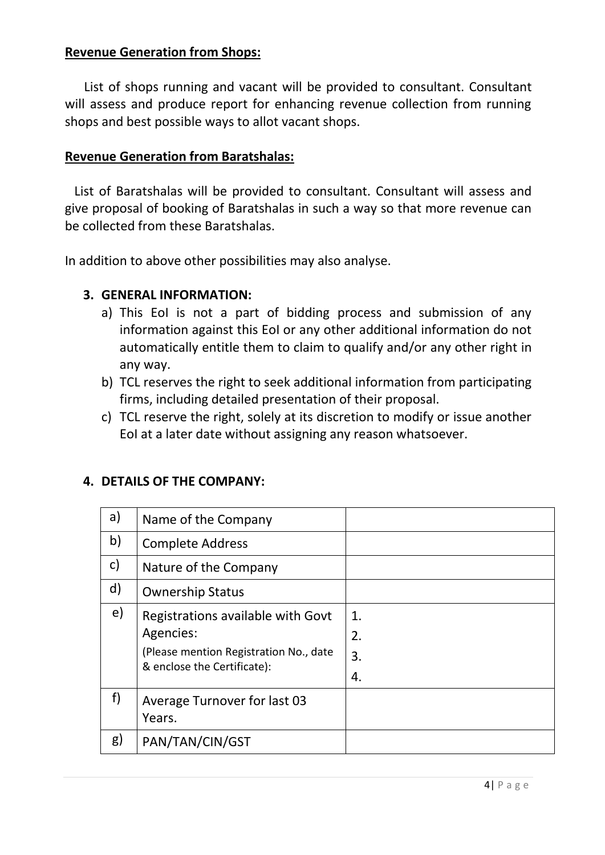## **Revenue Generation from Shops:**

 List of shops running and vacant will be provided to consultant. Consultant will assess and produce report for enhancing revenue collection from running shops and best possible ways to allot vacant shops.

#### **Revenue Generation from Baratshalas:**

 List of Baratshalas will be provided to consultant. Consultant will assess and give proposal of booking of Baratshalas in such a way so that more revenue can be collected from these Baratshalas.

In addition to above other possibilities may also analyse.

#### **3. GENERAL INFORMATION:**

- a) This EoI is not a part of bidding process and submission of any information against this EoI or any other additional information do not automatically entitle them to claim to qualify and/or any other right in any way.
- b) TCL reserves the right to seek additional information from participating firms, including detailed presentation of their proposal.
- c) TCL reserve the right, solely at its discretion to modify or issue another EoI at a later date without assigning any reason whatsoever.

| a)           | Name of the Company                                                                                                     |                      |
|--------------|-------------------------------------------------------------------------------------------------------------------------|----------------------|
| b)           | <b>Complete Address</b>                                                                                                 |                      |
| $\mathsf{c}$ | Nature of the Company                                                                                                   |                      |
| $\mathsf{d}$ | <b>Ownership Status</b>                                                                                                 |                      |
| e)           | Registrations available with Govt<br>Agencies:<br>(Please mention Registration No., date<br>& enclose the Certificate): | 1.<br>2.<br>3.<br>4. |
| f)           | Average Turnover for last 03<br>Years.                                                                                  |                      |
| g)           | PAN/TAN/CIN/GST                                                                                                         |                      |

#### **4. DETAILS OF THE COMPANY:**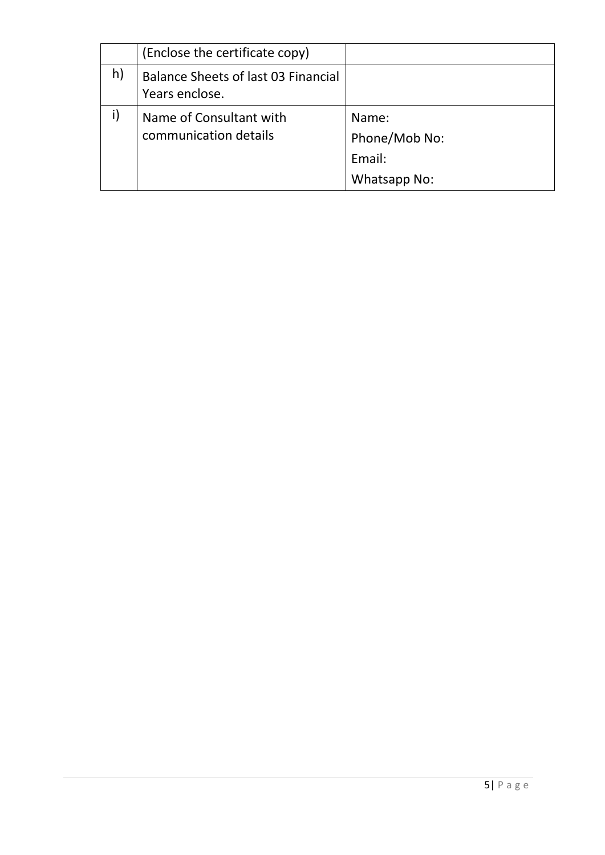|    | (Enclose the certificate copy)                        |               |
|----|-------------------------------------------------------|---------------|
| h) | Balance Sheets of last 03 Financial<br>Years enclose. |               |
|    | Name of Consultant with                               | Name:         |
|    | communication details                                 | Phone/Mob No: |
|    |                                                       | Email:        |
|    |                                                       | Whatsapp No:  |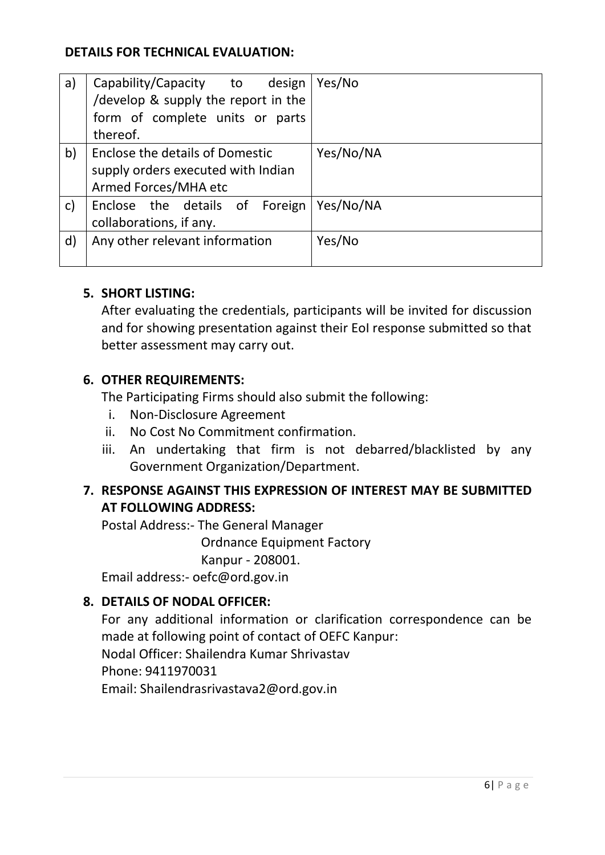### **DETAILS FOR TECHNICAL EVALUATION:**

| a)           | Capability/Capacity to<br>design       | Yes/No    |
|--------------|----------------------------------------|-----------|
|              | /develop & supply the report in the    |           |
|              | form of complete units or parts        |           |
|              | thereof.                               |           |
| b)           | <b>Enclose the details of Domestic</b> | Yes/No/NA |
|              | supply orders executed with Indian     |           |
|              | Armed Forces/MHA etc                   |           |
| C)           | Enclose the details of Foreign         | Yes/No/NA |
|              | collaborations, if any.                |           |
| $\mathsf{d}$ | Any other relevant information         | Yes/No    |
|              |                                        |           |

#### **5. SHORT LISTING:**

After evaluating the credentials, participants will be invited for discussion and for showing presentation against their EoI response submitted so that better assessment may carry out.

#### **6. OTHER REQUIREMENTS:**

The Participating Firms should also submit the following:

- i. Non-Disclosure Agreement
- ii. No Cost No Commitment confirmation.
- iii. An undertaking that firm is not debarred/blacklisted by any Government Organization/Department.

## **7. RESPONSE AGAINST THIS EXPRESSION OF INTEREST MAY BE SUBMITTED AT FOLLOWING ADDRESS:**

Postal Address:- The General Manager

Ordnance Equipment Factory

Kanpur - 208001.

Email address:- oefc@ord.gov.in

## **8. DETAILS OF NODAL OFFICER:**

For any additional information or clarification correspondence can be made at following point of contact of OEFC Kanpur: Nodal Officer: Shailendra Kumar Shrivastav Phone: 9411970031 Email: Shailendrasrivastava2@ord.gov.in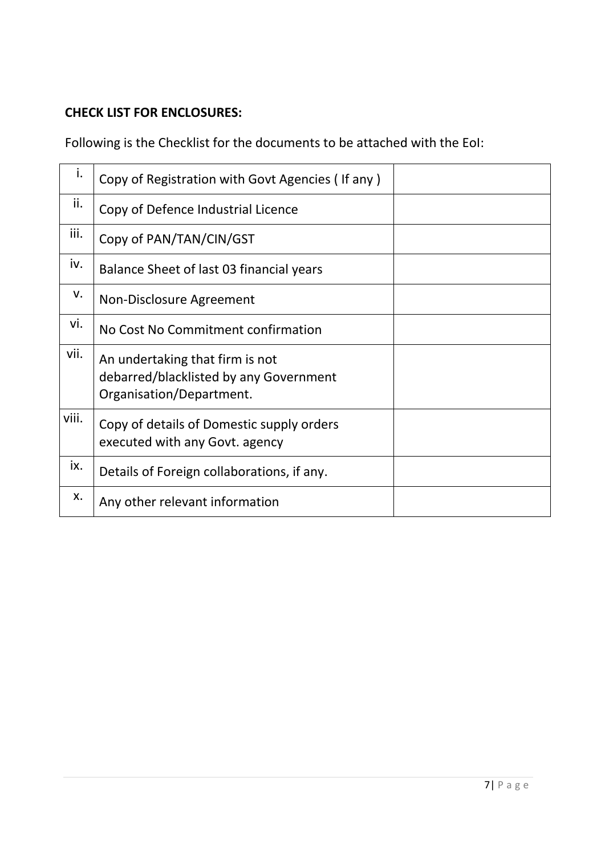## **CHECK LIST FOR ENCLOSURES:**

Following is the Checklist for the documents to be attached with the EoI:

| Ι.          | Copy of Registration with Govt Agencies (If any)                                                      |  |
|-------------|-------------------------------------------------------------------------------------------------------|--|
| ii.         | Copy of Defence Industrial Licence                                                                    |  |
| iii.        | Copy of PAN/TAN/CIN/GST                                                                               |  |
| iv.         | Balance Sheet of last 03 financial years                                                              |  |
| $V_{\cdot}$ | Non-Disclosure Agreement                                                                              |  |
| vi.         | No Cost No Commitment confirmation                                                                    |  |
| vii.        | An undertaking that firm is not<br>debarred/blacklisted by any Government<br>Organisation/Department. |  |
| viii.       | Copy of details of Domestic supply orders<br>executed with any Govt. agency                           |  |
| ix.         | Details of Foreign collaborations, if any.                                                            |  |
| X.          | Any other relevant information                                                                        |  |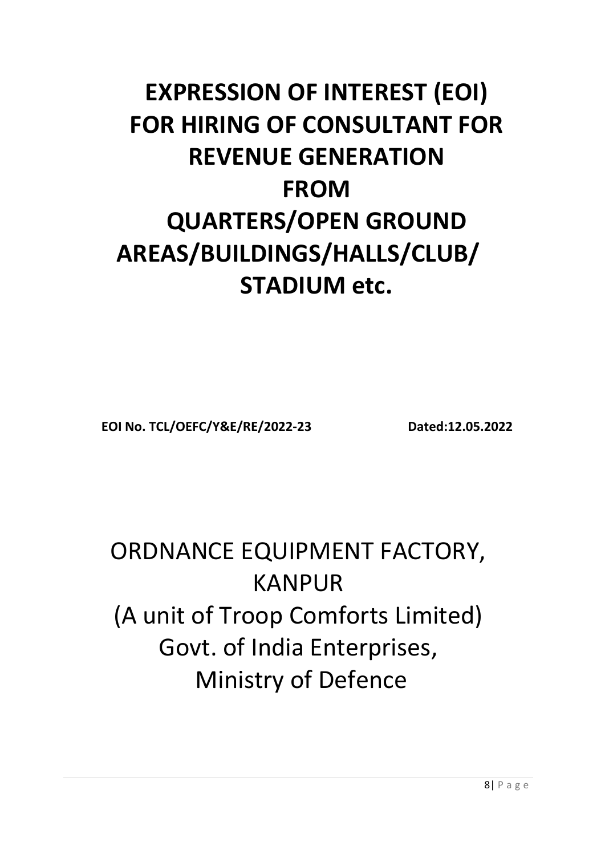# **EXPRESSION OF INTEREST (EOI) FOR HIRING OF CONSULTANT FOR REVENUE GENERATION FROM QUARTERS/OPEN GROUND AREAS/BUILDINGS/HALLS/CLUB/ STADIUM etc.**

**EOI No. TCL/OEFC/Y&E/RE/2022-23 Dated:12.05.2022**

# ORDNANCE EQUIPMENT FACTORY, KANPUR (A unit of Troop Comforts Limited) Govt. of India Enterprises, Ministry of Defence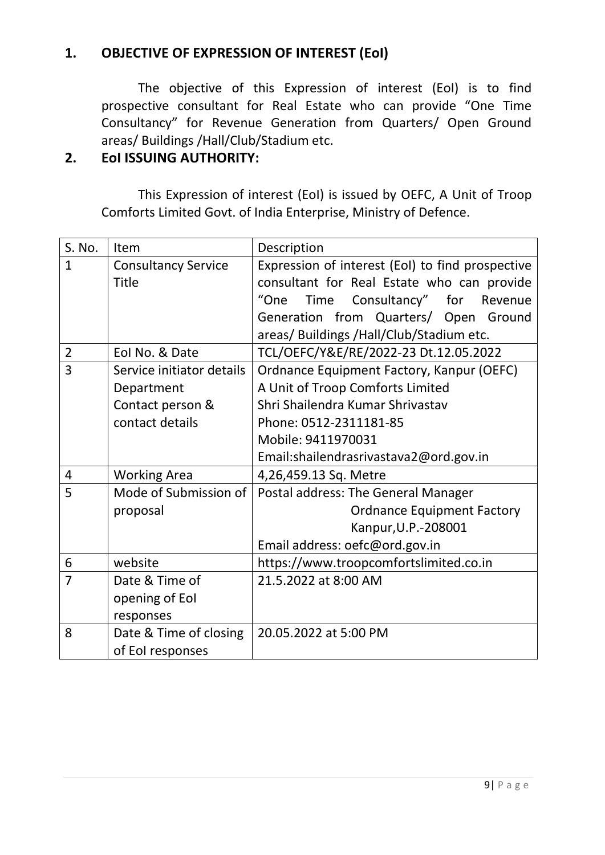## **1. OBJECTIVE OF EXPRESSION OF INTEREST (EoI)**

The objective of this Expression of interest (EoI) is to find prospective consultant for Real Estate who can provide "One Time Consultancy" for Revenue Generation from Quarters/ Open Ground areas/ Buildings /Hall/Club/Stadium etc.

#### **2. EoI ISSUING AUTHORITY:**

This Expression of interest (EoI) is issued by OEFC, A Unit of Troop Comforts Limited Govt. of India Enterprise, Ministry of Defence.

| S. No.                                            | Item                       | Description                                      |  |  |
|---------------------------------------------------|----------------------------|--------------------------------------------------|--|--|
| $\overline{1}$                                    | <b>Consultancy Service</b> | Expression of interest (EoI) to find prospective |  |  |
|                                                   | <b>Title</b>               | consultant for Real Estate who can provide       |  |  |
|                                                   |                            | "One<br>Consultancy" for<br>Time<br>Revenue      |  |  |
|                                                   |                            | Generation from Quarters/ Open<br>Ground         |  |  |
|                                                   |                            | areas/ Buildings / Hall/Club/Stadium etc.        |  |  |
| $\overline{2}$                                    | Eol No. & Date             | TCL/OEFC/Y&E/RE/2022-23 Dt.12.05.2022            |  |  |
| 3                                                 | Service initiator details  | Ordnance Equipment Factory, Kanpur (OEFC)        |  |  |
| Department<br>Contact person &<br>contact details |                            | A Unit of Troop Comforts Limited                 |  |  |
|                                                   |                            | Shri Shailendra Kumar Shrivastav                 |  |  |
|                                                   |                            | Phone: 0512-2311181-85                           |  |  |
|                                                   |                            | Mobile: 9411970031                               |  |  |
|                                                   |                            | Email:shailendrasrivastava2@ord.gov.in           |  |  |
| 4                                                 | <b>Working Area</b>        | 4,26,459.13 Sq. Metre                            |  |  |
| 5                                                 | Mode of Submission of      | Postal address: The General Manager              |  |  |
|                                                   | proposal                   | <b>Ordnance Equipment Factory</b>                |  |  |
|                                                   |                            | Kanpur, U.P.-208001                              |  |  |
|                                                   |                            | Email address: oefc@ord.gov.in                   |  |  |
| 6                                                 | website                    | https://www.troopcomfortslimited.co.in           |  |  |
| $\overline{7}$                                    | Date & Time of             | 21.5.2022 at 8:00 AM                             |  |  |
|                                                   | opening of Eol             |                                                  |  |  |
|                                                   | responses                  |                                                  |  |  |
| 8                                                 | Date & Time of closing     | 20.05.2022 at 5:00 PM                            |  |  |
|                                                   | of EoI responses           |                                                  |  |  |